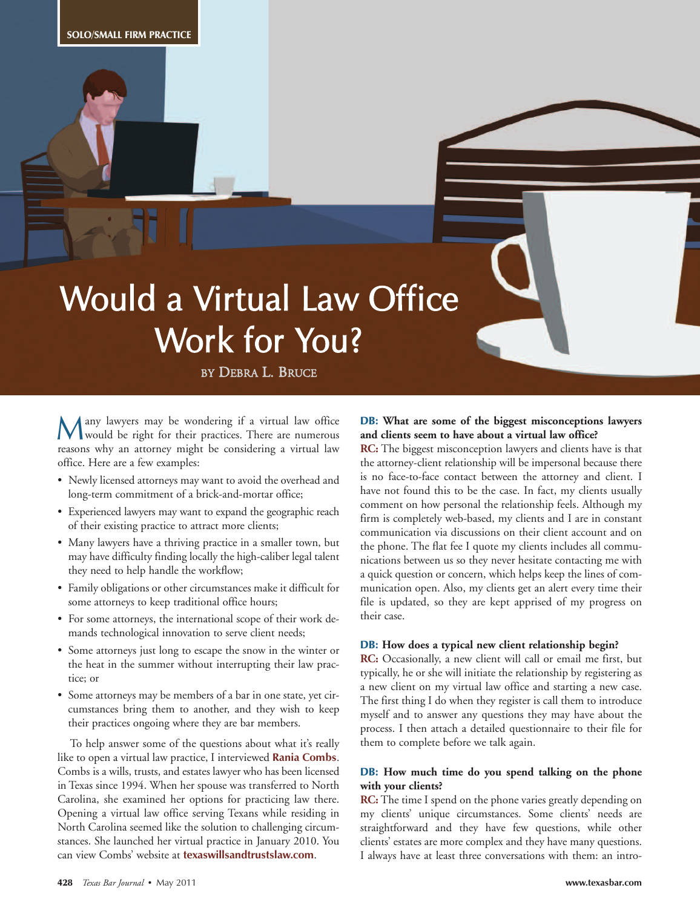# Would a Virtual Law Office Work for You?

BY DEBRA L. BRUCE

any lawyers may be wondering if a virtual law office Wany lawyers may be wondering if a virtual law office<br>would be right for their practices. There are numerous<br>materials are numerous within the considering a simulation reasons why an attorney might be considering a virtual law office. Here are a few examples:

- Newly licensed attorneys may want to avoid the overhead and long-term commitment of a brick-and-mortar office;
- Experienced lawyers may want to expand the geographic reach of their existing practice to attract more clients;
- Many lawyers have a thriving practice in a smaller town, but may have difficulty finding locally the high-caliber legal talent they need to help handle the workflow;
- Family obligations or other circumstances make it difficult for some attorneys to keep traditional office hours;
- For some attorneys, the international scope of their work demands technological innovation to serve client needs;
- Some attorneys just long to escape the snow in the winter or the heat in the summer without interrupting their law practice; or
- Some attorneys may be members of a bar in one state, yet circumstances bring them to another, and they wish to keep their practices ongoing where they are bar members.

To help answer some of the questions about what it's really like to open a virtual law practice, I interviewed **Rania Combs**. Combs is a wills, trusts, and estates lawyer who has been licensed in Texas since 1994. When her spouse was transferred to North Carolina, she examined her options for practicing law there. Opening a virtual law office serving Texans while residing in North Carolina seemed like the solution to challenging circumstances. She launched her virtual practice in January 2010. You can view Combs' website at **texaswillsandtrustslaw.com**.

# **DB: What are some of the biggest misconceptions lawyers and clients seem to have about a virtual law office?**

**RC:** The biggest misconception lawyers and clients have is that the attorney-client relationship will be impersonal because there is no face-to-face contact between the attorney and client. I have not found this to be the case. In fact, my clients usually comment on how personal the relationship feels. Although my firm is completely web-based, my clients and I are in constant communication via discussions on their client account and on the phone. The flat fee I quote my clients includes all communications between us so they never hesitate contacting me with a quick question or concern, which helps keep the lines of communication open. Also, my clients get an alert every time their file is updated, so they are kept apprised of my progress on their case.

#### **DB: How does a typical new client relationship begin?**

**RC:** Occasionally, a new client will call or email me first, but typically, he or she will initiate the relationship by registering as a new client on my virtual law office and starting a new case. The first thing I do when they register is call them to introduce myself and to answer any questions they may have about the process. I then attach a detailed questionnaire to their file for them to complete before we talk again.

#### **DB: How much time do you spend talking on the phone with your clients?**

**RC:** The time I spend on the phone varies greatly depending on my clients' unique circumstances. Some clients' needs are straightforward and they have few questions, while other clients' estates are more complex and they have many questions. I always have at least three conversations with them: an intro